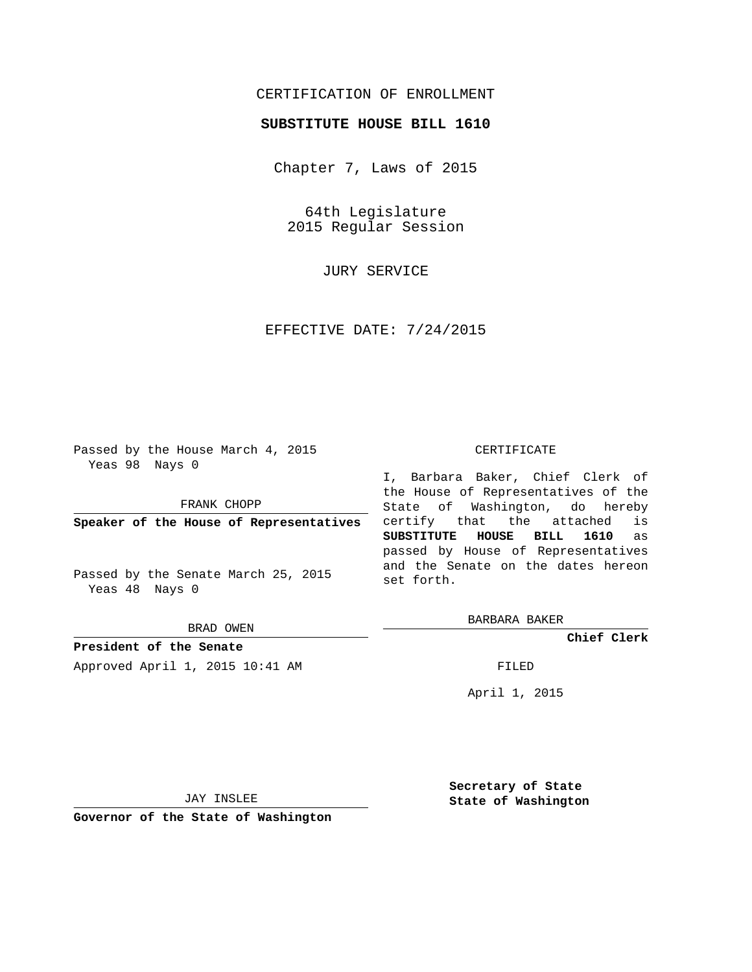## CERTIFICATION OF ENROLLMENT

## **SUBSTITUTE HOUSE BILL 1610**

Chapter 7, Laws of 2015

64th Legislature 2015 Regular Session

JURY SERVICE

EFFECTIVE DATE: 7/24/2015

Passed by the House March 4, 2015 Yeas 98 Nays 0

FRANK CHOPP

**Speaker of the House of Representatives**

Passed by the Senate March 25, 2015 Yeas 48 Nays 0

BRAD OWEN

**President of the Senate**

Approved April 1, 2015 10:41 AM FILED

## CERTIFICATE

I, Barbara Baker, Chief Clerk of the House of Representatives of the State of Washington, do hereby certify that the attached is **SUBSTITUTE HOUSE BILL 1610** as passed by House of Representatives and the Senate on the dates hereon set forth.

BARBARA BAKER

**Chief Clerk**

April 1, 2015

JAY INSLEE

**Governor of the State of Washington**

**Secretary of State State of Washington**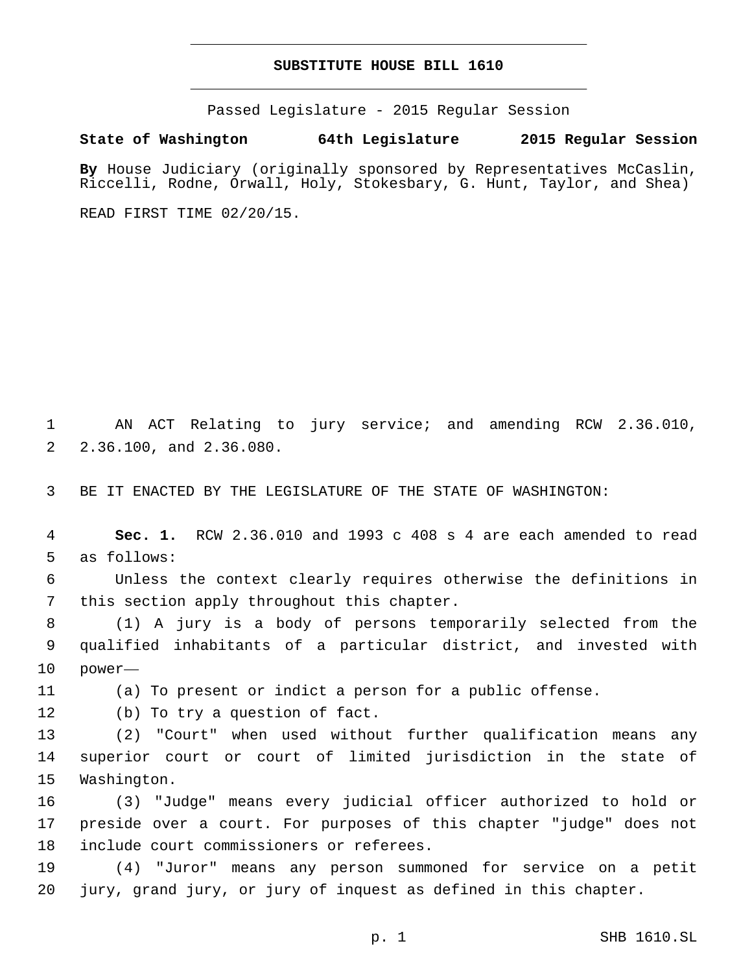## **SUBSTITUTE HOUSE BILL 1610**

Passed Legislature - 2015 Regular Session

**State of Washington 64th Legislature 2015 Regular Session**

**By** House Judiciary (originally sponsored by Representatives McCaslin, Riccelli, Rodne, Orwall, Holy, Stokesbary, G. Hunt, Taylor, and Shea)

READ FIRST TIME 02/20/15.

1 AN ACT Relating to jury service; and amending RCW 2.36.010, 2 2.36.100, and 2.36.080.

3 BE IT ENACTED BY THE LEGISLATURE OF THE STATE OF WASHINGTON:

4 **Sec. 1.** RCW 2.36.010 and 1993 c 408 s 4 are each amended to read 5 as follows:

6 Unless the context clearly requires otherwise the definitions in 7 this section apply throughout this chapter.

8 (1) A jury is a body of persons temporarily selected from the 9 qualified inhabitants of a particular district, and invested with 10 power—

11 (a) To present or indict a person for a public offense.

12 (b) To try a question of fact.

13 (2) "Court" when used without further qualification means any 14 superior court or court of limited jurisdiction in the state of 15 Washington.

16 (3) "Judge" means every judicial officer authorized to hold or 17 preside over a court. For purposes of this chapter "judge" does not 18 include court commissioners or referees.

19 (4) "Juror" means any person summoned for service on a petit 20 jury, grand jury, or jury of inquest as defined in this chapter.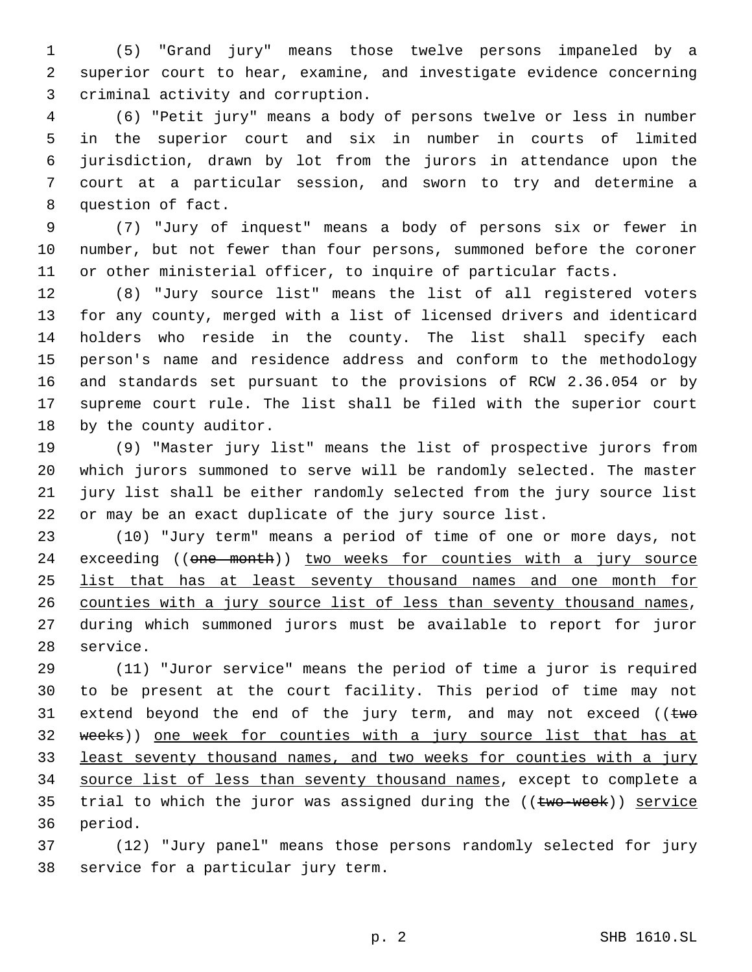(5) "Grand jury" means those twelve persons impaneled by a superior court to hear, examine, and investigate evidence concerning 3 criminal activity and corruption.

 (6) "Petit jury" means a body of persons twelve or less in number in the superior court and six in number in courts of limited jurisdiction, drawn by lot from the jurors in attendance upon the court at a particular session, and sworn to try and determine a 8 question of fact.

 (7) "Jury of inquest" means a body of persons six or fewer in number, but not fewer than four persons, summoned before the coroner or other ministerial officer, to inquire of particular facts.

 (8) "Jury source list" means the list of all registered voters for any county, merged with a list of licensed drivers and identicard holders who reside in the county. The list shall specify each person's name and residence address and conform to the methodology and standards set pursuant to the provisions of RCW 2.36.054 or by supreme court rule. The list shall be filed with the superior court 18 by the county auditor.

 (9) "Master jury list" means the list of prospective jurors from which jurors summoned to serve will be randomly selected. The master jury list shall be either randomly selected from the jury source list or may be an exact duplicate of the jury source list.

 (10) "Jury term" means a period of time of one or more days, not 24 exceeding ((one month)) two weeks for counties with a jury source list that has at least seventy thousand names and one month for 26 counties with a jury source list of less than seventy thousand names, during which summoned jurors must be available to report for juror 28 service.

 (11) "Juror service" means the period of time a juror is required to be present at the court facility. This period of time may not 31 extend beyond the end of the jury term, and may not exceed ( $\epsilon_{w\sigma}$  weeks)) one week for counties with a jury source list that has at least seventy thousand names, and two weeks for counties with a jury source list of less than seventy thousand names, except to complete a 35 trial to which the juror was assigned during the ((two-week)) service 36 period.

 (12) "Jury panel" means those persons randomly selected for jury 38 service for a particular jury term.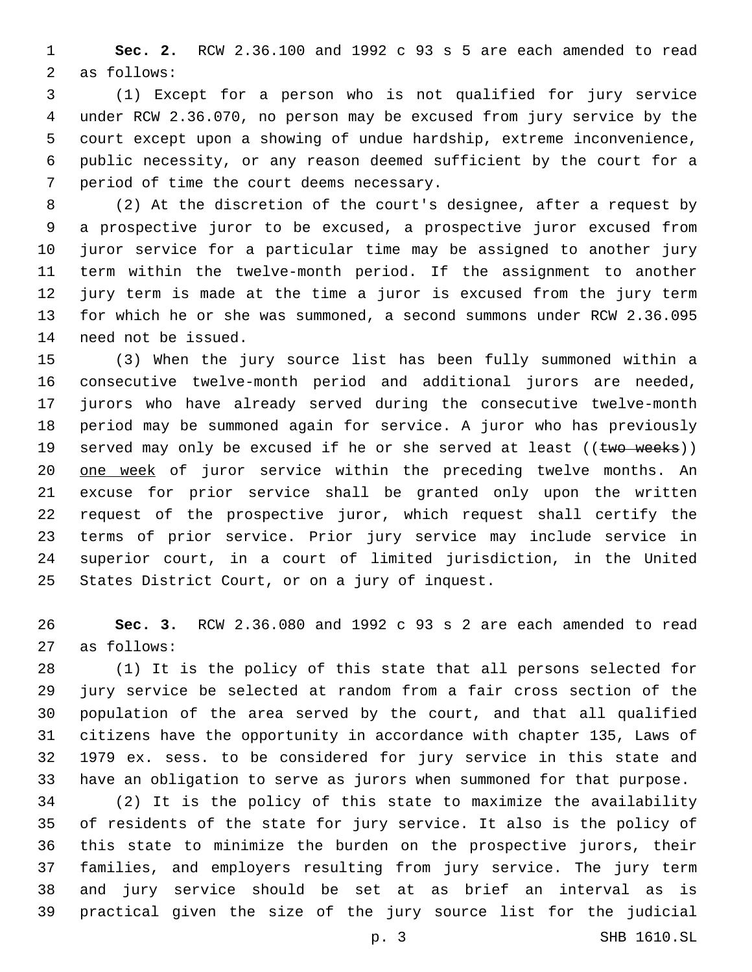**Sec. 2.** RCW 2.36.100 and 1992 c 93 s 5 are each amended to read 2 as follows:

 (1) Except for a person who is not qualified for jury service under RCW 2.36.070, no person may be excused from jury service by the court except upon a showing of undue hardship, extreme inconvenience, public necessity, or any reason deemed sufficient by the court for a 7 period of time the court deems necessary.

 (2) At the discretion of the court's designee, after a request by a prospective juror to be excused, a prospective juror excused from juror service for a particular time may be assigned to another jury term within the twelve-month period. If the assignment to another jury term is made at the time a juror is excused from the jury term for which he or she was summoned, a second summons under RCW 2.36.095 14 need not be issued.

 (3) When the jury source list has been fully summoned within a consecutive twelve-month period and additional jurors are needed, jurors who have already served during the consecutive twelve-month period may be summoned again for service. A juror who has previously 19 served may only be excused if he or she served at least  $((\text{two weeks}))$ 20 one week of juror service within the preceding twelve months. An excuse for prior service shall be granted only upon the written request of the prospective juror, which request shall certify the terms of prior service. Prior jury service may include service in superior court, in a court of limited jurisdiction, in the United 25 States District Court, or on a jury of inquest.

 **Sec. 3.** RCW 2.36.080 and 1992 c 93 s 2 are each amended to read as follows:27

 (1) It is the policy of this state that all persons selected for jury service be selected at random from a fair cross section of the population of the area served by the court, and that all qualified citizens have the opportunity in accordance with chapter 135, Laws of 1979 ex. sess. to be considered for jury service in this state and have an obligation to serve as jurors when summoned for that purpose.

 (2) It is the policy of this state to maximize the availability of residents of the state for jury service. It also is the policy of this state to minimize the burden on the prospective jurors, their families, and employers resulting from jury service. The jury term and jury service should be set at as brief an interval as is practical given the size of the jury source list for the judicial